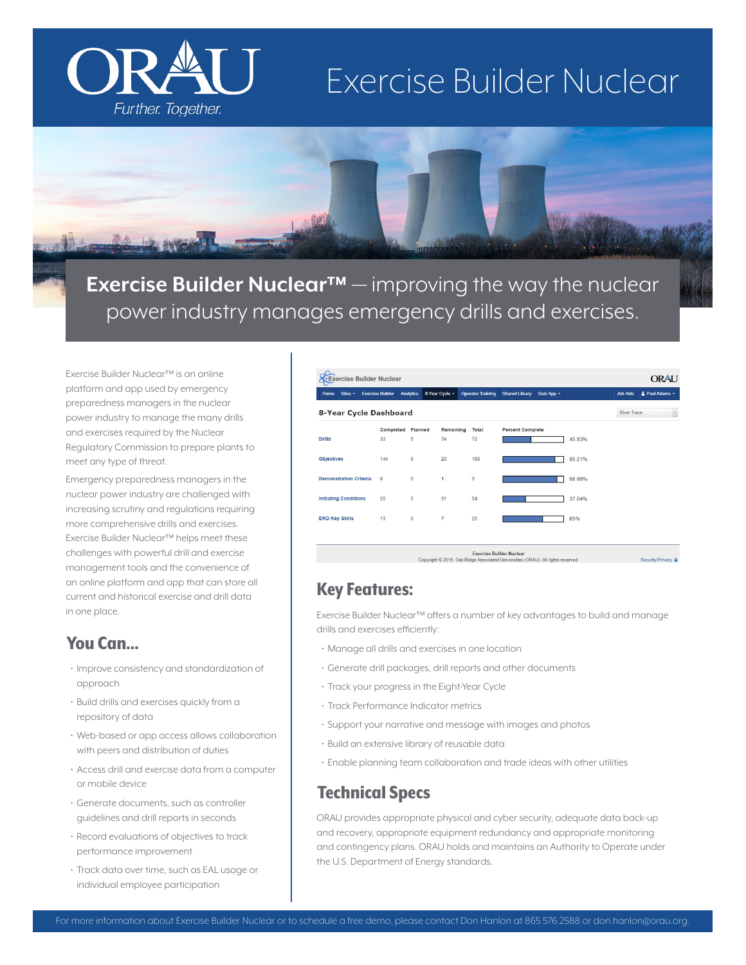# Exercise Builder Nuclear



**Exercise Builder Nuclear™** — improving the way the nuclear power industry manages emergency drills and exercises.

Exercise Builder Nuclear™ is an online platform and app used by emergency preparedness managers in the nuclear power industry to manage the many drills and exercises required by the Nuclear Regulatory Commission to prepare plants to meet any type of threat.

Further. Together.

Emergency preparedness managers in the nuclear power industry are challenged with increasing scrutiny and regulations requiring more comprehensive drills and exercises. Exercise Builder Nuclear™ helps meet these challenges with powerful drill and exercise management tools and the convenience of an online platform and app that can store all current and historical exercise and drill data in one place.

#### You Can...

- Improve consistency and standardization of approach
- Build drills and exercises quickly from a repository of data
- Web-based or app access allows collaboration with peers and distribution of duties
- Access drill and exercise data from a computer or mobile device
- Generate documents, such as controller guidelines and drill reports in seconds
- Record evaluations of objectives to track performance improvement
- Track data over time, such as EAL usage or individual employee participation

| Sites -<br>Home               | <b>Exercise Builder</b> | <b>Analytics</b> | 8-Year Cycle v | <b>Operator Training</b> | <b>Shared Library</b>   | Quiz App + |        | <b>Job Aids</b> | & Paul Adams + |
|-------------------------------|-------------------------|------------------|----------------|--------------------------|-------------------------|------------|--------|-----------------|----------------|
| 8-Year Cycle Dashboard        |                         |                  |                |                          |                         |            |        | River Trace     |                |
|                               | Completed               | Planned          | Remaining      | Total                    | <b>Percent Complete</b> |            |        |                 |                |
| <b>Drills</b>                 | 33                      | 5                | 34             | 72                       |                         |            | 45.83% |                 |                |
| <b>Objectives</b>             | 144                     | $\circ$          | 25             | 169                      |                         |            | 85.21% |                 |                |
| <b>Demonstration Criteria</b> | 8                       | $\circ$          | 1              | $\overline{9}$           |                         |            | 88.89% |                 |                |
| <b>Initiating Conditions</b>  | 20                      | 3                | 31             | 54                       |                         |            | 37.04% |                 |                |
| <b>ERO Key Skills</b>         | 13                      | $\circ$          | $\overline{7}$ | 20                       |                         |            | 65%    |                 |                |
|                               |                         |                  |                |                          |                         |            |        |                 |                |

#### Key Features:

Exercise Builder Nuclear™ offers a number of key advantages to build and manage drills and exercises efficiently:

- Manage all drills and exercises in one location
- Generate drill packages, drill reports and other documents
- Track your progress in the Eight-Year Cycle
- Track Performance Indicator metrics
- Support your narrative and message with images and photos
- Build an extensive library of reusable data
- Enable planning team collaboration and trade ideas with other utilities

#### Technical Specs

ORAU provides appropriate physical and cyber security, adequate data back-up and recovery, appropriate equipment redundancy and appropriate monitoring and contingency plans. ORAU holds and maintains an Authority to Operate under the U.S. Department of Energy standards.